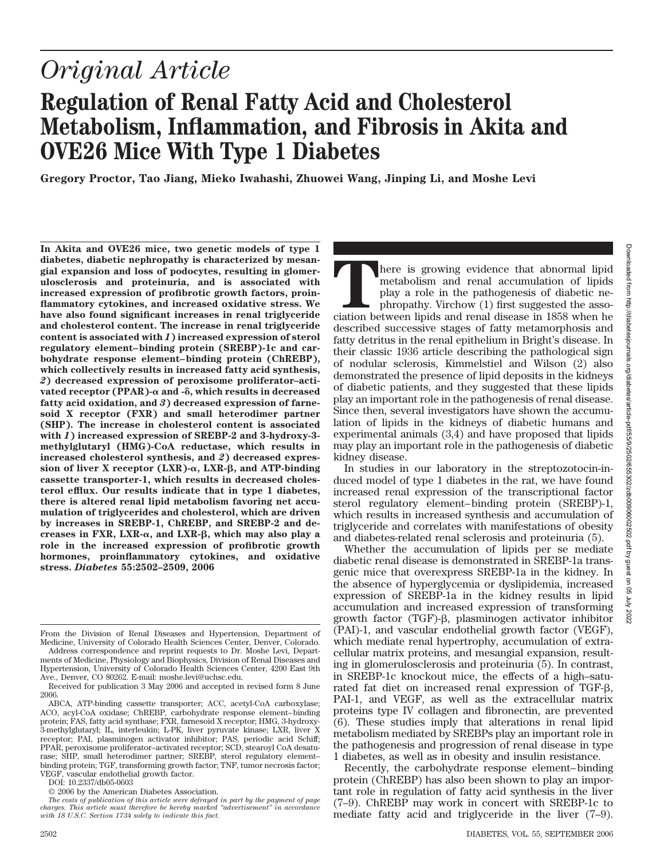# *Original Article*

# **Regulation of Renal Fatty Acid and Cholesterol Metabolism, Inflammation, and Fibrosis in Akita and OVE26 Mice With Type 1 Diabetes**

**Gregory Proctor, Tao Jiang, Mieko Iwahashi, Zhuowei Wang, Jinping Li, and Moshe Levi**

**In Akita and OVE26 mice, two genetic models of type 1 diabetes, diabetic nephropathy is characterized by mesangial expansion and loss of podocytes, resulting in glomerulosclerosis and proteinuria, and is associated with increased expression of profibrotic growth factors, proinflammatory cytokines, and increased oxidative stress. We have also found significant increases in renal triglyceride and cholesterol content. The increase in renal triglyceride content is associated with** *1***) increased expression of sterol regulatory element– binding protein (SREBP)-1c and carbohydrate response element– binding protein (ChREBP), which collectively results in increased fatty acid synthesis,** *2***) decreased expression of peroxisome proliferator–activated receptor (PPAR)-α and -δ, which results in decreased fatty acid oxidation, and** *3***) decreased expression of farnesoid X receptor (FXR) and small heterodimer partner (SHP). The increase in cholesterol content is associated with** *1***) increased expression of SREBP-2 and 3-hydroxy-3 methylglutaryl (HMG)-CoA reductase, which results in increased cholesterol synthesis, and** *2***) decreased expres**sion of liver X receptor (LXR)- $\alpha$ , LXR- $\beta$ , and ATP-binding **cassette transporter-1, which results in decreased cholesterol efflux. Our results indicate that in type 1 diabetes, there is altered renal lipid metabolism favoring net accumulation of triglycerides and cholesterol, which are driven by increases in SREBP-1, ChREBP, and SREBP-2 and de**creases in FXR, LXR- $\alpha$ , and LXR- $\beta$ , which may also play a **role in the increased expression of profibrotic growth hormones, proinflammatory cytokines, and oxidative stress.** *Diabetes* **55:2502–2509, 2006**

Address correspondence and reprint requests to Dr. Moshe Levi, Departments of Medicine, Physiology and Biophysics, Division of Renal Diseases and Hypertension, University of Colorado Health Sciences Center, 4200 East 9th Ave., Denver, CO 80262. E-mail: moshe.levi@uchsc.edu.

DOI: 10.2337/db05-0603

here is growing evidence that abnormal lipid metabolism and renal accumulation of lipids play a role in the pathogenesis of diabetic nephropathy. Virchow (1) first suggested the association between lipids and renal disease in 1858 when he described successive stages of fatty metamorphosis and fatty detritus in the renal epithelium in Bright's disease. In their classic 1936 article describing the pathological sign of nodular sclerosis, Kimmelstiel and Wilson (2) also demonstrated the presence of lipid deposits in the kidneys of diabetic patients, and they suggested that these lipids play an important role in the pathogenesis of renal disease. Since then, several investigators have shown the accumulation of lipids in the kidneys of diabetic humans and experimental animals (3,4) and have proposed that lipids may play an important role in the pathogenesis of diabetic kidney disease.

In studies in our laboratory in the streptozotocin-induced model of type 1 diabetes in the rat, we have found increased renal expression of the transcriptional factor sterol regulatory element– binding protein (SREBP)-1, which results in increased synthesis and accumulation of triglyceride and correlates with manifestations of obesity and diabetes-related renal sclerosis and proteinuria (5).

Whether the accumulation of lipids per se mediate diabetic renal disease is demonstrated in SREBP-1a transgenic mice that overexpress SREBP-1a in the kidney. In the absence of hyperglycemia or dyslipidemia, increased expression of SREBP-1a in the kidney results in lipid accumulation and increased expression of transforming growth factor (TGF)- $\beta$ , plasminogen activator inhibitor (PAI)-1, and vascular endothelial growth factor (VEGF), which mediate renal hypertrophy, accumulation of extracellular matrix proteins, and mesangial expansion, resulting in glomerulosclerosis and proteinuria (5). In contrast, in SREBP-1c knockout mice, the effects of a high–saturated fat diet on increased renal expression of TGF- $\beta$ , PAI-1, and VEGF, as well as the extracellular matrix proteins type IV collagen and fibronectin, are prevented (6). These studies imply that alterations in renal lipid metabolism mediated by SREBPs play an important role in the pathogenesis and progression of renal disease in type 1 diabetes, as well as in obesity and insulin resistance.

Recently, the carbohydrate response element– binding protein (ChREBP) has also been shown to play an important role in regulation of fatty acid synthesis in the liver (7–9). ChREBP may work in concert with SREBP-1c to mediate fatty acid and triglyceride in the liver (7–9).

From the Division of Renal Diseases and Hypertension, Department of Medicine, University of Colorado Health Sciences Center, Denver, Colorado.

Received for publication 3 May 2006 and accepted in revised form 8 June 2006.

ABCA, ATP-binding cassette transporter; ACC, acetyl-CoA carboxylase; ACO, acyl-CoA oxidase; ChREBP, carbohydrate response element– binding protein; FAS, fatty acid synthase; FXR, farnesoid X receptor; HMG, 3-hydroxy-3-methylglutaryl; IL, interleukin; L-PK, liver pyruvate kinase; LXR, liver X receptor; PAI, plasminogen activator inhibitor; PAS, periodic acid Schiff; PPAR, peroxisome proliferator–activated receptor; SCD, stearoyl CoA desaturase; SHP, small heterodimer partner; SREBP, sterol regulatory element– binding protein; TGF, transforming growth factor; TNF, tumor necrosis factor; VEGF, vascular endothelial growth factor.

<sup>© 2006</sup> by the American Diabetes Association.

*The costs of publication of this article were defrayed in part by the payment of page charges. This article must therefore be hereby marked "advertisement" in accordance with 18 U.S.C. Section 1734 solely to indicate this fact.*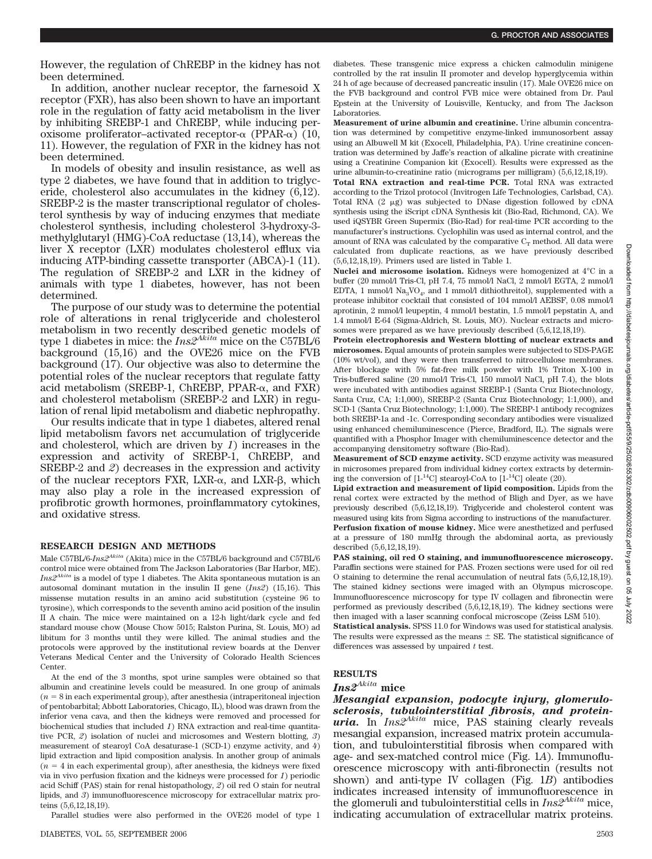However, the regulation of ChREBP in the kidney has not been determined.

In addition, another nuclear receptor, the farnesoid X receptor (FXR), has also been shown to have an important role in the regulation of fatty acid metabolism in the liver by inhibiting SREBP-1 and ChREBP, while inducing peroxisome proliferator-activated receptor- $\alpha$  (PPAR- $\alpha$ ) (10, 11). However, the regulation of FXR in the kidney has not been determined.

In models of obesity and insulin resistance, as well as type 2 diabetes, we have found that in addition to triglyceride, cholesterol also accumulates in the kidney (6,12). SREBP-2 is the master transcriptional regulator of cholesterol synthesis by way of inducing enzymes that mediate cholesterol synthesis, including cholesterol 3-hydroxy-3 methylglutaryl (HMG)-CoA reductase (13,14), whereas the liver X receptor (LXR) modulates cholesterol efflux via inducing ATP-binding cassette transporter (ABCA)-1 (11). The regulation of SREBP-2 and LXR in the kidney of animals with type 1 diabetes, however, has not been determined.

The purpose of our study was to determine the potential role of alterations in renal triglyceride and cholesterol metabolism in two recently described genetic models of type 1 diabetes in mice: the *Ins2Akita* mice on the C57BL/6 background (15,16) and the OVE26 mice on the FVB background (17). Our objective was also to determine the potential roles of the nuclear receptors that regulate fatty acid metabolism (SREBP-1, ChREBP, PPAR- $\alpha$ , and FXR) and cholesterol metabolism (SREBP-2 and LXR) in regulation of renal lipid metabolism and diabetic nephropathy.

Our results indicate that in type 1 diabetes, altered renal lipid metabolism favors net accumulation of triglyceride and cholesterol, which are driven by *1*) increases in the expression and activity of SREBP-1, ChREBP, and SREBP-2 and *2*) decreases in the expression and activity of the nuclear receptors FXR,  $LXR-\alpha$ , and  $LXR-\beta$ , which may also play a role in the increased expression of profibrotic growth hormones, proinflammatory cytokines, and oxidative stress.

### **RESEARCH DESIGN AND METHODS**

Male C57BL/6-*Ins2Akita* (Akita) mice in the C57BL/6 background and C57BL/6 control mice were obtained from The Jackson Laboratories (Bar Harbor, ME). *Ins2Akita* is a model of type 1 diabetes. The Akita spontaneous mutation is an autosomal dominant mutation in the insulin II gene (*Ins2*) (15,16). This missense mutation results in an amino acid substitution (cysteine 96 to tyrosine), which corresponds to the seventh amino acid position of the insulin II A chain. The mice were maintained on a 12-h light/dark cycle and fed standard mouse chow (Mouse Chow 5015; Ralston Purina, St. Louis, MO) ad libitum for 3 months until they were killed. The animal studies and the protocols were approved by the institutional review boards at the Denver Veterans Medical Center and the University of Colorado Health Sciences Center.

At the end of the 3 months, spot urine samples were obtained so that albumin and creatinine levels could be measured. In one group of animals  $(n = 8$  in each experimental group), after anes the sia (intraperitoneal injection of pentobarbital; Abbott Laboratories, Chicago, IL), blood was drawn from the inferior vena cava, and then the kidneys were removed and processed for biochemical studies that included *1*) RNA extraction and real-time quantitative PCR, *2*) isolation of nuclei and microsomes and Western blotting, *3*) measurement of stearoyl CoA desaturase-1 (SCD-1) enzyme activity, and *4*) lipid extraction and lipid composition analysis. In another group of animals  $(n = 4$  in each experimental group), after anesthesia, the kidneys were fixed via in vivo perfusion fixation and the kidneys were processed for *1*) periodic acid Schiff (PAS) stain for renal histopathology, *2*) oil red O stain for neutral lipids, and *3*) immunofluorescence microscopy for extracellular matrix proteins (5,6,12,18,19).

Parallel studies were also performed in the OVE26 model of type 1

diabetes. These transgenic mice express a chicken calmodulin minigene controlled by the rat insulin II promoter and develop hyperglycemia within 24 h of age because of decreased pancreatic insulin (17). Male OVE26 mice on the FVB background and control FVB mice were obtained from Dr. Paul Epstein at the University of Louisville, Kentucky, and from The Jackson Laboratories.

**Measurement of urine albumin and creatinine.** Urine albumin concentration was determined by competitive enzyme-linked immunosorbent assay using an Albuwell M kit (Exocell, Philadelphia, PA). Urine creatinine concentration was determined by Jaffe's reaction of alkaline picrate with creatinine using a Creatinine Companion kit (Exocell). Results were expressed as the urine albumin-to-creatinine ratio (micrograms per milligram) (5,6,12,18,19).

**Total RNA extraction and real-time PCR.** Total RNA was extracted according to the Trizol protocol (Invitrogen Life Technologies, Carlsbad, CA). Total RNA  $(2 \mu g)$  was subjected to DNase digestion followed by cDNA synthesis using the iScript cDNA Synthesis kit (Bio-Rad, Richmond, CA). We used iQSYBR Green Supermix (Bio-Rad) for real-time PCR according to the manufacturer's instructions. Cyclophilin was used as internal control, and the amount of RNA was calculated by the comparative  $\mathrm{C}_{\mathrm{T}}$  method. All data were calculated from duplicate reactions, as we have previously described (5,6,12,18,19). Primers used are listed in Table 1.

**Nuclei and microsome isolation.** Kidneys were homogenized at 4°C in a buffer (20 mmol/l Tris-Cl, pH 7.4, 75 mmol/l NaCl, 2 mmol/l EGTA, 2 mmol/l EDTA, 1 mmol/l  $\text{Na}_3\text{VO}_4$ , and 1 mmol/l dithiothreitol), supplemented with a protease inhibitor cocktail that consisted of 104 mmol/l AEBSF, 0.08 mmol/l aprotinin, 2 mmol/l leupeptin, 4 mmol/l bestatin, 1.5 mmol/l pepstatin A, and 1.4 mmol/l E-64 (Sigma-Aldrich, St. Louis, MO). Nuclear extracts and microsomes were prepared as we have previously described (5,6,12,18,19).

**Protein electrophoresis and Western blotting of nuclear extracts and microsomes.** Equal amounts of protein samples were subjected to SDS-PAGE (10% wt/vol), and they were then transferred to nitrocellulose membranes. After blockage with 5% fat-free milk powder with 1% Triton X-100 in Tris-buffered saline (20 mmol/l Tris-Cl, 150 mmol/l NaCl, pH 7.4), the blots were incubated with antibodies against SREBP-1 (Santa Cruz Biotechnology, Santa Cruz, CA; 1:1,000), SREBP-2 (Santa Cruz Biotechnology; 1:1,000), and SCD-1 (Santa Cruz Biotechnology; 1:1,000). The SREBP-1 antibody recognizes both SREBP-1a and -1c. Corresponding secondary antibodies were visualized using enhanced chemiluminescence (Pierce, Bradford, IL). The signals were quantified with a Phosphor Imager with chemiluminescence detector and the accompanying densitometry software (Bio-Rad).

**Measurement of SCD enzyme activity.** SCD enzyme activity was measured in microsomes prepared from individual kidney cortex extracts by determining the conversion of  $[1^{-14}C]$  stearoyl-CoA to  $[1^{-14}C]$  oleate (20).

**Lipid extraction and measurement of lipid composition.** Lipids from the renal cortex were extracted by the method of Bligh and Dyer, as we have previously described (5,6,12,18,19). Triglyceride and cholesterol content was measured using kits from Sigma according to instructions of the manufacturer. **Perfusion fixation of mouse kidney.** Mice were anesthetized and perfused at a pressure of 180 mmHg through the abdominal aorta, as previously described (5,6,12,18,19).

**PAS staining, oil red O staining, and immunofluorescence microscopy.** Paraffin sections were stained for PAS. Frozen sections were used for oil red O staining to determine the renal accumulation of neutral fats (5,6,12,18,19). The stained kidney sections were imaged with an Olympus microscope. Immunofluorescence microscopy for type IV collagen and fibronectin were performed as previously described (5,6,12,18,19). The kidney sections were then imaged with a laser scanning confocal microscope (Zeiss LSM 510). **Statistical analysis.** SPSS 11.0 for Windows was used for statistical analysis. The results were expressed as the means  $\pm$  SE. The statistical significance of

differences was assessed by unpaired *t* test.

## **RESULTS**

## *Ins2Akita* **mice**

*Mesangial expansion, podocyte injury, glomerulosclerosis, tubulointerstitial fibrosis, and proteinuria.* In *Ins2Akita* mice, PAS staining clearly reveals mesangial expansion, increased matrix protein accumulation, and tubulointerstitial fibrosis when compared with age- and sex-matched control mice (Fig. 1*A*). Immunofluorescence microscopy with anti-fibronectin (results not shown) and anti-type IV collagen (Fig. 1*B*) antibodies indicates increased intensity of immunofluorescence in the glomeruli and tubulointerstitial cells in *Ins2Akita* mice, indicating accumulation of extracellular matrix proteins.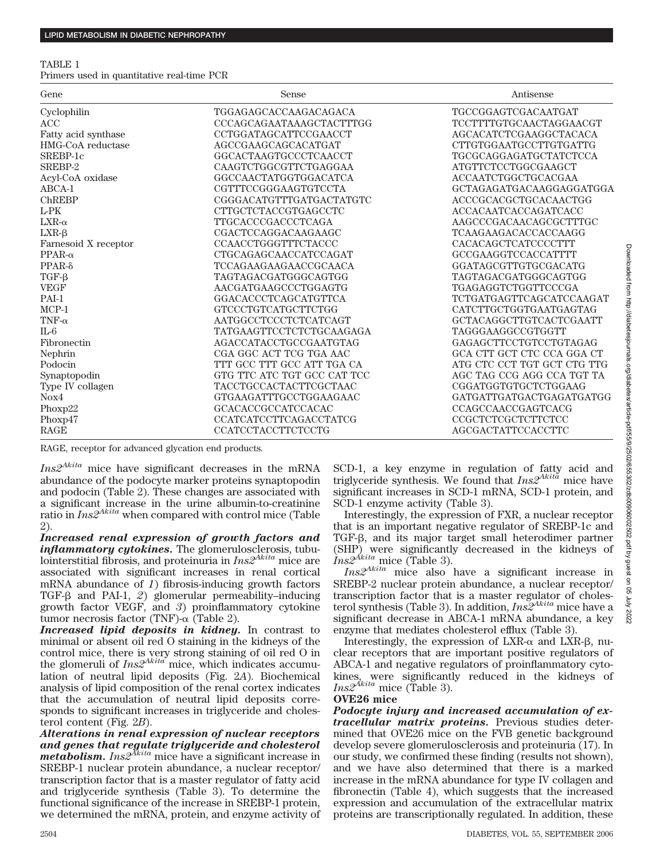### TABLE 1

Primers used in quantitative real-time PCR

| Gene                 | Sense                           | Antisense                       |
|----------------------|---------------------------------|---------------------------------|
| Cyclophilin          | TGGAGAGCACCAAGACAGACA           | TGCCGGAGTCGACAATGAT             |
| ACC                  | CCCAGCAGAATAAAGCTACTTTGG        | <b>TCCTTTTGTGCAACTAGGAACGT</b>  |
| Fatty acid synthase  | CCTGGATAGCATTCCGAACCT           | AGCACATCTCGAAGGCTACACA          |
| HMG-CoA reductase    | AGCCGAAGCAGCACATGAT             | CTTGTGGAATGCCTTGTGATTG          |
| SREBP-1c             | GGCACTAAGTGCCCTCAACCT           | <b>TGCGCAGGAGATGCTATCTCCA</b>   |
| SREBP-2              | CAAGTCTGGCGTTCTGAGGAA           | ATGTTCTCCTGGCGAAGCT             |
| Acyl-CoA oxidase     | GGCCAACTATGGTGGACATCA           | ACCAATCTGGCTGCACGAA             |
| $ABCA-1$             | CGTTTCCGGGAAGTGTCCTA            | GCTAGAGATGACAAGGAGGATGGA        |
| ChREBP               | CGGGACATGTTTGATGACTATGTC        | ACCCGCACGCTGCACAACTGG           |
| $L$ -PK              | CTTGCTCTACCGTGAGCCTC            | <b>ACCACAATCACCAGATCACC</b>     |
| $LXR-\alpha$         | <b>TTGCACCCGACCCTCAGA</b>       | AAGCCCGACAACAGCGCTTTGC          |
| $LXR-\beta$          | CGACTCCAGGACAAGAAGC             | <b>TCAAGAAGACACCACCAAGG</b>     |
| Farnesoid X receptor | <b>CCAACCTGGGTTTCTACCC</b>      | CACACAGCTCATCCCCTTT             |
| $PPAR-\alpha$        | CTGCAGAGCAACCATCCAGAT           | GCCGAAGGTCCACCATTTT             |
| $PPAR-δ$             | <b>TCCAGAAGAAGAACCGCAACA</b>    | GGATAGCGTTGTGCGACATG            |
| $TGF-\beta$          | TAGTAGACGATGGGCAGTGG            | <b>TAGTAGACGATGGGCAGTGG</b>     |
| <b>VEGF</b>          | AACGATGAAGCCCTGGAGTG            | <b>TGAGAGGTCTGGTTCCCGA</b>      |
| PAI-1                | GGACACCCTCAGCATGTTCA            | <b>TCTGATGAGTTCAGCATCCAAGAT</b> |
| $MCP-1$              | GTCCCTGTCATGCTTCTGG             | CATCTTGCTGGTGAATGAGTAG          |
| TNF- $\alpha$        | AATGGCCTCCCTCTCATCAGT           | GCTACAGGCTTGTCACTCGAATT         |
| $IL-6$               | <b>TATGAAGTTCCTCTCTGCAAGAGA</b> | TAGGGAAGGCCGTGGTT               |
| Fibronectin          | AGACCATACCTGCCGAATGTAG          | GAGAGCTTCCTGTCCTGTAGAG          |
| Nephrin              | CGA GGC ACT TCG TGA AAC         | GCA CTT GCT CTC CCA GGA CT      |
| Podocin              | TTT GCC TTT GCC ATT TGA CA      | ATG CTC CCT TGT GCT CTG TTG     |
| Synaptopodin         | GTG TTC ATC TGT GCC CAT TCC     | AGC TAG CCG AGG CCA TGT TA      |
| Type IV collagen     | <b>TACCTGCCACTACTTCGCTAAC</b>   | CGGATGGTGTGCTCTGGAAG            |
| Nox4                 | GTGAAGATTTGCCTGGAAGAAC          | GATGATTGATGACTGAGATGATGG        |
| Phoxp22              | <b>GCACACCGCCATCCACAC</b>       | <b>CCAGCCAACCGAGTCACG</b>       |
| Phoxp47              | <b>CCATCATCCTTCAGACCTATCG</b>   | CCGCTCTCGCTCTTCTCC              |
| RAGE                 | <b>CCATCCTACCTTCTCCTG</b>       | <b>AGCGACTATTCCACCTTC</b>       |

RAGE, receptor for advanced glycation end products.

*Ins2Akita* mice have significant decreases in the mRNA abundance of the podocyte marker proteins synaptopodin and podocin (Table 2). These changes are associated with a significant increase in the urine albumin-to-creatinine ratio in *Ins2Akita* when compared with control mice (Table 2).

*Increased renal expression of growth factors and inflammatory cytokines.* The glomerulosclerosis, tubulointerstitial fibrosis, and proteinuria in *Ins2Akita* mice are associated with significant increases in renal cortical mRNA abundance of *1*) fibrosis-inducing growth factors TGF-β and PAI-1, *2*) glomerular permeability–inducing growth factor VEGF, and *3*) proinflammatory cytokine tumor necrosis factor (TNF)- $\alpha$  (Table 2).

*Increased lipid deposits in kidney.* In contrast to minimal or absent oil red O staining in the kidneys of the control mice, there is very strong staining of oil red O in the glomeruli of *Ins2Akita* mice, which indicates accumulation of neutral lipid deposits (Fig. 2*A*). Biochemical analysis of lipid composition of the renal cortex indicates that the accumulation of neutral lipid deposits corresponds to significant increases in triglyceride and cholesterol content (Fig. 2*B*).

*Alterations in renal expression of nuclear receptors and genes that regulate triglyceride and cholesterol metabolism. Ins2Akita* mice have a significant increase in SREBP-1 nuclear protein abundance, a nuclear receptor/ transcription factor that is a master regulator of fatty acid and triglyceride synthesis (Table 3). To determine the functional significance of the increase in SREBP-1 protein, we determined the mRNA, protein, and enzyme activity of SCD-1, a key enzyme in regulation of fatty acid and triglyceride synthesis. We found that *Ins2Akita* mice have significant increases in SCD-1 mRNA, SCD-1 protein, and SCD-1 enzyme activity (Table 3).

Interestingly, the expression of FXR, a nuclear receptor that is an important negative regulator of SREBP-1c and TGF- $\beta$ , and its major target small heterodimer partner (SHP) were significantly decreased in the kidneys of *Ins2Akita* mice (Table 3).

*Ins2Akita* mice also have a significant increase in SREBP-2 nuclear protein abundance, a nuclear receptor/ transcription factor that is a master regulator of cholesterol synthesis (Table 3). In addition, *Ins2Akita* mice have a significant decrease in ABCA-1 mRNA abundance, a key enzyme that mediates cholesterol efflux (Table 3).

Interestingly, the expression of  $LXR-\alpha$  and  $LXR-\beta$ , nuclear receptors that are important positive regulators of ABCA-1 and negative regulators of proinflammatory cytokines, were significantly reduced in the kidneys of *Ins2Akita* mice (Table 3).

## **OVE26 mice**

*Podocyte injury and increased accumulation of extracellular matrix proteins.* Previous studies determined that OVE26 mice on the FVB genetic background develop severe glomerulosclerosis and proteinuria (17). In our study, we confirmed these finding (results not shown), and we have also determined that there is a marked increase in the mRNA abundance for type IV collagen and fibronectin (Table 4), which suggests that the increased expression and accumulation of the extracellular matrix proteins are transcriptionally regulated. In addition, these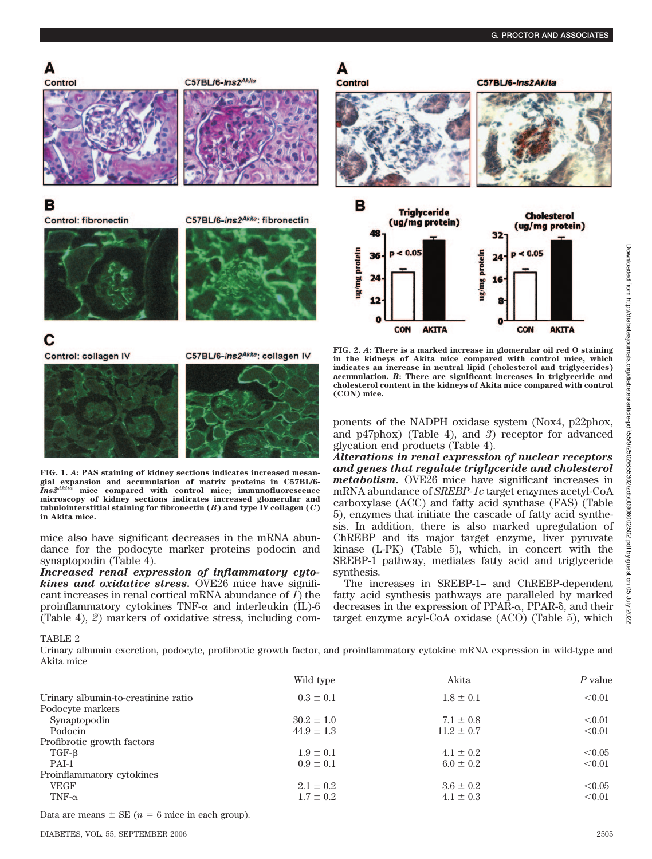## A



## в

**Control: fibronectin** 

C57BL/6-Ins2Akita: fibronectin

C57BL/6-Ins2Akita

A





## С

Control: collagen IV

C57BL/6-Ins2Akita: collagen IV



**FIG. 1.** *A***: PAS staining of kidney sections indicates increased mesangial expansion and accumulation of matrix proteins in C57BL/6-** *Ins2Akita* **mice compared with control mice; immunofluorescence microscopy of kidney sections indicates increased glomerular and tubulointerstitial staining for fibronectin (***B***) and type IV collagen (***C***) in Akita mice.**

mice also have significant decreases in the mRNA abundance for the podocyte marker proteins podocin and synaptopodin (Table 4).

*Increased renal expression of inflammatory cytokines and oxidative stress.* OVE26 mice have significant increases in renal cortical mRNA abundance of *1*) the proinflammatory cytokines  $TNF-\alpha$  and interleukin (IL)-6 (Table 4), *2*) markers of oxidative stress, including com-



**FIG. 2.** *A***: There is a marked increase in glomerular oil red O staining in the kidneys of Akita mice compared with control mice, which indicates an increase in neutral lipid (cholesterol and triglycerides) accumulation.** *B***: There are significant increases in triglyceride and cholesterol content in the kidneys of Akita mice compared with control (CON) mice.**

ponents of the NADPH oxidase system (Nox4, p22phox, and p47phox) (Table 4), and *3*) receptor for advanced glycation end products (Table 4).

*Alterations in renal expression of nuclear receptors and genes that regulate triglyceride and cholesterol metabolism.* OVE26 mice have significant increases in mRNA abundance of *SREBP-1c* target enzymes acetyl-CoA carboxylase (ACC) and fatty acid synthase (FAS) (Table 5), enzymes that initiate the cascade of fatty acid synthesis. In addition, there is also marked upregulation of ChREBP and its major target enzyme, liver pyruvate kinase (L-PK) (Table 5), which, in concert with the SREBP-1 pathway, mediates fatty acid and triglyceride synthesis.

The increases in SREBP-1– and ChREBP-dependent fatty acid synthesis pathways are paralleled by marked decreases in the expression of  $PPAR-\alpha$ ,  $PPAR-\delta$ , and their target enzyme acyl-CoA oxidase (ACO) (Table 5), which

TABLE 2

Urinary albumin excretion, podocyte, profibrotic growth factor, and proinflammatory cytokine mRNA expression in wild-type and Akita mice

|                                     | Wild type      | Akita          | P value |
|-------------------------------------|----------------|----------------|---------|
| Urinary albumin-to-creatinine ratio | $0.3 \pm 0.1$  | $1.8 \pm 0.1$  | < 0.01  |
| Podocyte markers                    |                |                |         |
| Synaptopodin                        | $30.2 \pm 1.0$ | $7.1 \pm 0.8$  | < 0.01  |
| Podocin                             | $44.9 \pm 1.3$ | $11.2 \pm 0.7$ | < 0.01  |
| Profibrotic growth factors          |                |                |         |
| TGF-B                               | $1.9 \pm 0.1$  | $4.1 \pm 0.2$  | < 0.05  |
| PAI-1                               | $0.9 \pm 0.1$  | $6.0 \pm 0.2$  | < 0.01  |
| Proinflammatory cytokines           |                |                |         |
| <b>VEGF</b>                         | $2.1 \pm 0.2$  | $3.6 \pm 0.2$  | < 0.05  |
| TNF- $\alpha$                       | $1.7 \pm 0.2$  | $4.1 \pm 0.3$  | < 0.01  |
|                                     |                |                |         |

Data are means  $\pm$  SE ( $n = 6$  mice in each group).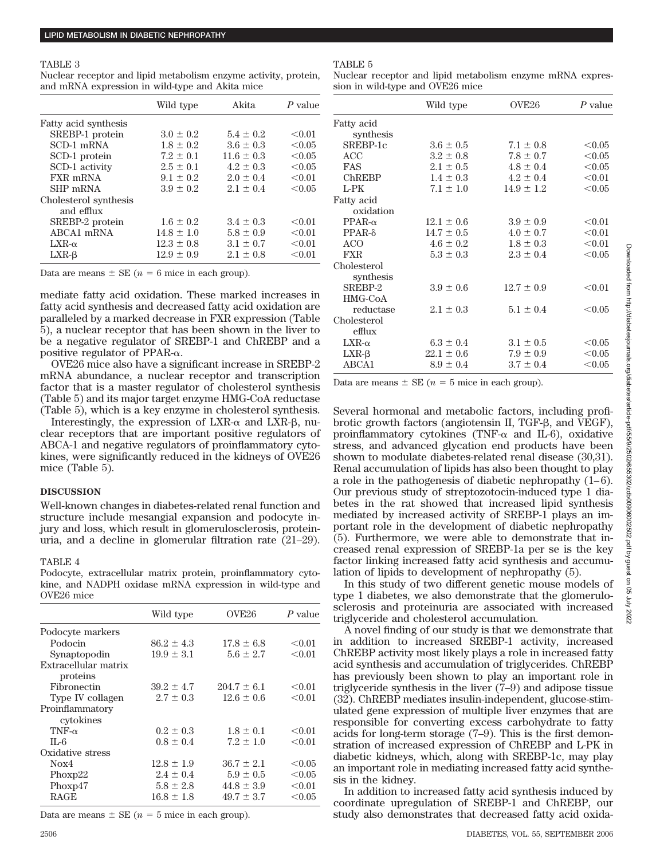#### TABLE 3

Nuclear receptor and lipid metabolism enzyme activity, protein, and mRNA expression in wild-type and Akita mice

|                       | Wild type      | Akita          | $P$ value |
|-----------------------|----------------|----------------|-----------|
| Fatty acid synthesis  |                |                |           |
| SREBP-1 protein       | $3.0 \pm 0.2$  | $5.4 + 0.2$    | < 0.01    |
| SCD-1 mRNA            | $1.8 \pm 0.2$  | $3.6 \pm 0.3$  | < 0.05    |
| SCD-1 protein         | $7.2 \pm 0.1$  | $11.6 \pm 0.3$ | < 0.05    |
| SCD-1 activity        | $2.5 \pm 0.1$  | $4.2 \pm 0.3$  | < 0.05    |
| FXR mRNA              | $9.1 + 0.2$    | $2.0 \pm 0.4$  | < 0.01    |
| SHP mRNA              | $3.9 + 0.2$    | $2.1 + 0.4$    | < 0.05    |
| Cholesterol synthesis |                |                |           |
| and efflux            |                |                |           |
| SREBP-2 protein       | $1.6 + 0.2$    | $3.4 \pm 0.3$  | < 0.01    |
| ABCA1 mRNA            | $14.8 \pm 1.0$ | $5.8 \pm 0.9$  | < 0.01    |
| $LXR-\alpha$          | $12.3 \pm 0.8$ | $3.1 + 0.7$    | < 0.01    |
| $LXR-B$               | $12.9 \pm 0.9$ | $2.1 \pm 0.8$  | < 0.01    |

Data are means  $\pm$  SE ( $n = 6$  mice in each group).

mediate fatty acid oxidation. These marked increases in fatty acid synthesis and decreased fatty acid oxidation are paralleled by a marked decrease in FXR expression (Table 5), a nuclear receptor that has been shown in the liver to be a negative regulator of SREBP-1 and ChREBP and a positive regulator of PPAR- $\alpha$ .

OVE26 mice also have a significant increase in SREBP-2 mRNA abundance, a nuclear receptor and transcription factor that is a master regulator of cholesterol synthesis (Table 5) and its major target enzyme HMG-CoA reductase (Table 5), which is a key enzyme in cholesterol synthesis.

Interestingly, the expression of  $LXR-\alpha$  and  $LXR-\beta$ , nuclear receptors that are important positive regulators of ABCA-1 and negative regulators of proinflammatory cytokines, were significantly reduced in the kidneys of OVE26 mice (Table 5).

### **DISCUSSION**

Well-known changes in diabetes-related renal function and structure include mesangial expansion and podocyte injury and loss, which result in glomerulosclerosis, proteinuria, and a decline in glomerular filtration rate (21–29).

## TABLE 4

Podocyte, extracellular matrix protein, proinflammatory cytokine, and NADPH oxidase mRNA expression in wild-type and OVE26 mice

|                                  | Wild type      | OVE <sub>26</sub> | P value |
|----------------------------------|----------------|-------------------|---------|
|                                  |                |                   |         |
| Podocyte markers                 |                |                   |         |
| Podocin                          | $86.2 \pm 4.3$ | $17.8 \pm 6.8$    | < 0.01  |
| Synaptopodin                     | $19.9 \pm 3.1$ | $5.6 \pm 2.7$     | < 0.01  |
| Extracellular matrix<br>proteins |                |                   |         |
| Fibronectin                      | $39.2 \pm 4.7$ | $204.7 \pm 6.1$   | < 0.01  |
| Type IV collagen                 | $2.7 \pm 0.3$  | $12.6 \pm 0.6$    | < 0.01  |
| Proinflammatory<br>cytokines     |                |                   |         |
| $TNF-\alpha$                     | $0.2 \pm 0.3$  | $1.8 \pm 0.1$     | < 0.01  |
| IL-6                             | $0.8 \pm 0.4$  | $7.2 \pm 1.0$     | < 0.01  |
| Oxidative stress                 |                |                   |         |
| Nox4                             | $12.8 \pm 1.9$ | $36.7 \pm 2.1$    | < 0.05  |
| Phoxp22                          | $2.4 \pm 0.4$  | $5.9 \pm 0.5$     | < 0.05  |
| Phoxp47                          | $5.8 \pm 2.8$  | $44.8 \pm 3.9$    | < 0.01  |
| <b>RAGE</b>                      | $16.8 + 1.8$   | $49.7 + 3.7$      | < 0.05  |

Data are means  $\pm$  SE ( $n = 5$  mice in each group).

Nuclear receptor and lipid metabolism enzyme mRNA expression in wild-type and OVE26 mice

|                | Wild type      | OVE <sub>26</sub> | $P$ value |
|----------------|----------------|-------------------|-----------|
| Fatty acid     |                |                   |           |
| synthesis      |                |                   |           |
| SREBP-1c       | $3.6 \pm 0.5$  | $7.1 \pm 0.8$     | < 0.05    |
| ACC            | $3.2 \pm 0.8$  | $7.8 \pm 0.7$     | < 0.05    |
| <b>FAS</b>     | $2.1 \pm 0.5$  | $4.8 \pm 0.4$     | < 0.05    |
| ChREBP         | $1.4 \pm 0.3$  | $4.2 \pm 0.4$     | < 0.01    |
| $L$ -PK        | $7.1 \pm 1.0$  | $14.9 \pm 1.2$    | < 0.05    |
| Fatty acid     |                |                   |           |
| oxidation      |                |                   |           |
| $PPAR-\alpha$  | $12.1 \pm 0.6$ | $3.9 \pm 0.9$     | < 0.01    |
| $PPAR-δ$       | $14.7 \pm 0.5$ | $4.0 \pm 0.7$     | < 0.01    |
| ACO            | $4.6 \pm 0.2$  | $1.8 \pm 0.3$     | < 0.01    |
| <b>FXR</b>     | $5.3 \pm 0.3$  | $2.3 \pm 0.4$     | < 0.05    |
| Cholesterol    |                |                   |           |
| synthesis      |                |                   |           |
| SREBP-2        | $3.9 \pm 0.6$  | $12.7 \pm 0.9$    | < 0.01    |
| <b>HMG-CoA</b> |                |                   |           |
| reductase      | $2.1 \pm 0.3$  | $5.1 \pm 0.4$     | < 0.05    |
| Cholesterol    |                |                   |           |
| efflux         |                |                   |           |
| $LXR-\alpha$   | $6.3 \pm 0.4$  | $3.1 \pm 0.5$     | < 0.05    |
| $LXR-B$        | $22.1 \pm 0.6$ | $7.9 \pm 0.9$     | < 0.05    |
| ABCA1          | $8.9 \pm 0.4$  | $3.7 \pm 0.4$     | < 0.05    |

Data are means  $\pm$  SE ( $n = 5$  mice in each group).

Several hormonal and metabolic factors, including profibrotic growth factors (angiotensin II, TGF- $\beta$ , and VEGF), proinflammatory cytokines (TNF- $\alpha$  and IL-6), oxidative stress, and advanced glycation end products have been shown to modulate diabetes-related renal disease (30,31). Renal accumulation of lipids has also been thought to play a role in the pathogenesis of diabetic nephropathy  $(1-6)$ . Our previous study of streptozotocin-induced type 1 diabetes in the rat showed that increased lipid synthesis mediated by increased activity of SREBP-1 plays an important role in the development of diabetic nephropathy (5). Furthermore, we were able to demonstrate that increased renal expression of SREBP-1a per se is the key factor linking increased fatty acid synthesis and accumulation of lipids to development of nephropathy (5).

In this study of two different genetic mouse models of type 1 diabetes, we also demonstrate that the glomerulosclerosis and proteinuria are associated with increased triglyceride and cholesterol accumulation.

A novel finding of our study is that we demonstrate that in addition to increased SREBP-1 activity, increased ChREBP activity most likely plays a role in increased fatty acid synthesis and accumulation of triglycerides. ChREBP has previously been shown to play an important role in triglyceride synthesis in the liver (7–9) and adipose tissue (32). ChREBP mediates insulin-independent, glucose-stimulated gene expression of multiple liver enzymes that are responsible for converting excess carbohydrate to fatty acids for long-term storage (7–9). This is the first demonstration of increased expression of ChREBP and L-PK in diabetic kidneys, which, along with SREBP-1c, may play an important role in mediating increased fatty acid synthesis in the kidney.

In addition to increased fatty acid synthesis induced by coordinate upregulation of SREBP-1 and ChREBP, our study also demonstrates that decreased fatty acid oxida-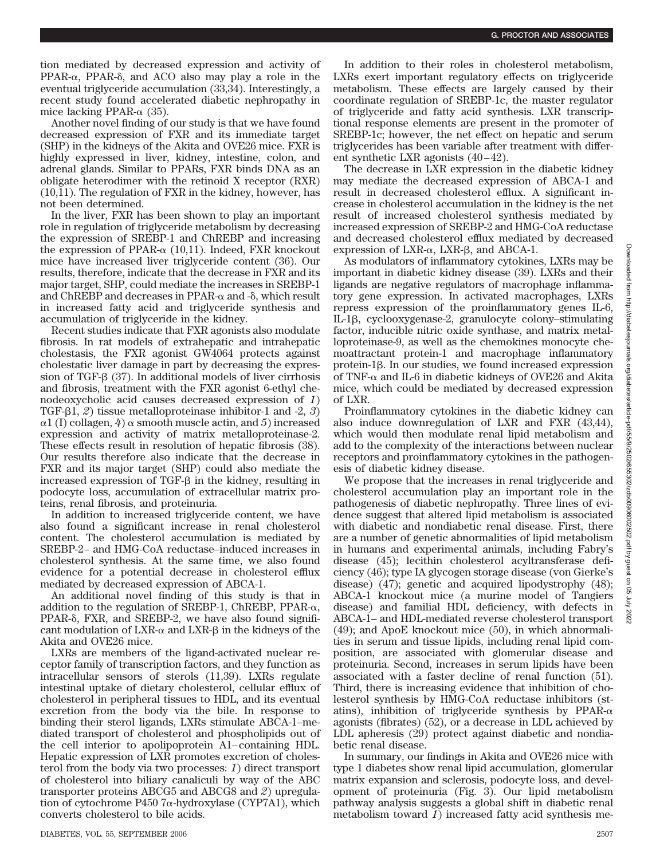tion mediated by decreased expression and activity of  $PPAR-\alpha$ ,  $PPAR-\delta$ , and  $ACO$  also may play a role in the eventual triglyceride accumulation (33,34). Interestingly, a recent study found accelerated diabetic nephropathy in mice lacking PPAR- $\alpha$  (35).

Another novel finding of our study is that we have found decreased expression of FXR and its immediate target (SHP) in the kidneys of the Akita and OVE26 mice. FXR is highly expressed in liver, kidney, intestine, colon, and adrenal glands. Similar to PPARs, FXR binds DNA as an obligate heterodimer with the retinoid X receptor (RXR) (10,11). The regulation of FXR in the kidney, however, has not been determined.

In the liver, FXR has been shown to play an important role in regulation of triglyceride metabolism by decreasing the expression of SREBP-1 and ChREBP and increasing the expression of PPAR- $\alpha$  (10,11). Indeed, FXR knockout mice have increased liver triglyceride content (36). Our results, therefore, indicate that the decrease in FXR and its major target, SHP, could mediate the increases in SREBP-1 and  $\rm ChREBP$  and decreases in PPAR- $\alpha$  and - $\delta$ , which result in increased fatty acid and triglyceride synthesis and accumulation of triglyceride in the kidney.

Recent studies indicate that FXR agonists also modulate fibrosis. In rat models of extrahepatic and intrahepatic cholestasis, the FXR agonist GW4064 protects against cholestatic liver damage in part by decreasing the expression of TGF- $\beta$  (37). In additional models of liver cirrhosis and fibrosis, treatment with the FXR agonist 6-ethyl chenodeoxycholic acid causes decreased expression of *1*) TGF- $\beta$ 1,  $\varnothing$ ) tissue metalloproteinase inhibitor-1 and -2,  $\varnothing$ )  $\alpha$ 1 (I) collagen, 4)  $\alpha$  smooth muscle actin, and 5) increased expression and activity of matrix metalloproteinase-2. These effects result in resolution of hepatic fibrosis (38). Our results therefore also indicate that the decrease in FXR and its major target (SHP) could also mediate the increased expression of  $TGF- $\beta$  in the kidney, resulting in$ podocyte loss, accumulation of extracellular matrix proteins, renal fibrosis, and proteinuria.

In addition to increased triglyceride content, we have also found a significant increase in renal cholesterol content. The cholesterol accumulation is mediated by SREBP-2– and HMG-CoA reductase–induced increases in cholesterol synthesis. At the same time, we also found evidence for a potential decrease in cholesterol efflux mediated by decreased expression of ABCA-1.

An additional novel finding of this study is that in addition to the regulation of SREBP-1, ChREBP, PPAR- $\alpha$ , PPAR- $\delta$ , FXR, and SREBP-2, we have also found significant modulation of  $LXR-\alpha$  and  $LXR-\beta$  in the kidneys of the Akita and OVE26 mice.

LXRs are members of the ligand-activated nuclear receptor family of transcription factors, and they function as intracellular sensors of sterols (11,39). LXRs regulate intestinal uptake of dietary cholesterol, cellular efflux of cholesterol in peripheral tissues to HDL, and its eventual excretion from the body via the bile. In response to binding their sterol ligands, LXRs stimulate ABCA-1–mediated transport of cholesterol and phospholipids out of the cell interior to apolipoprotein A1– containing HDL. Hepatic expression of LXR promotes excretion of cholesterol from the body via two processes: *1*) direct transport of cholesterol into biliary canaliculi by way of the ABC transporter proteins ABCG5 and ABCG8 and *2*) upregulation of cytochrome P450 7α-hydroxylase (CYP7A1), which converts cholesterol to bile acids.

The decrease in LXR expression in the diabetic kidney may mediate the decreased expression of ABCA-1 and result in decreased cholesterol efflux. A significant increase in cholesterol accumulation in the kidney is the net result of increased cholesterol synthesis mediated by increased expression of SREBP-2 and HMG-CoA reductase and decreased cholesterol efflux mediated by decreased  $expression$  of  $LXR-\alpha$ ,  $LXR-\beta$ , and  $ABCA-1$ .

As modulators of inflammatory cytokines, LXRs may be important in diabetic kidney disease (39). LXRs and their ligands are negative regulators of macrophage inflammatory gene expression. In activated macrophages, LXRs repress expression of the proinflammatory genes IL-6, IL-1 $\beta$ , cyclooxygenase-2, granulocyte colony–stimulating factor, inducible nitric oxide synthase, and matrix metalloproteinase-9, as well as the chemokines monocyte chemoattractant protein-1 and macrophage inflammatory  $protein-1\beta$ . In our studies, we found increased expression of TNF- $\alpha$  and IL-6 in diabetic kidneys of OVE26 and Akita mice, which could be mediated by decreased expression of LXR.

Proinflammatory cytokines in the diabetic kidney can also induce downregulation of LXR and FXR (43,44), which would then modulate renal lipid metabolism and add to the complexity of the interactions between nuclear receptors and proinflammatory cytokines in the pathogenesis of diabetic kidney disease.

We propose that the increases in renal triglyceride and cholesterol accumulation play an important role in the pathogenesis of diabetic nephropathy. Three lines of evidence suggest that altered lipid metabolism is associated with diabetic and nondiabetic renal disease. First, there are a number of genetic abnormalities of lipid metabolism in humans and experimental animals, including Fabry's disease (45); lecithin cholesterol acyltransferase deficiency (46); type IA glycogen storage disease (von Gierke's disease) (47); genetic and acquired lipodystrophy (48); ABCA-1 knockout mice (a murine model of Tangiers disease) and familial HDL deficiency, with defects in ABCA-1– and HDL-mediated reverse cholesterol transport (49); and ApoE knockout mice (50), in which abnormalities in serum and tissue lipids, including renal lipid composition, are associated with glomerular disease and proteinuria. Second, increases in serum lipids have been associated with a faster decline of renal function (51). Third, there is increasing evidence that inhibition of cholesterol synthesis by HMG-CoA reductase inhibitors (statins), inhibition of triglyceride synthesis by PPAR- $\alpha$ agonists (fibrates) (52), or a decrease in LDL achieved by LDL apheresis (29) protect against diabetic and nondiabetic renal disease.

In summary, our findings in Akita and OVE26 mice with type 1 diabetes show renal lipid accumulation, glomerular matrix expansion and sclerosis, podocyte loss, and development of proteinuria (Fig. 3). Our lipid metabolism pathway analysis suggests a global shift in diabetic renal metabolism toward *1*) increased fatty acid synthesis me-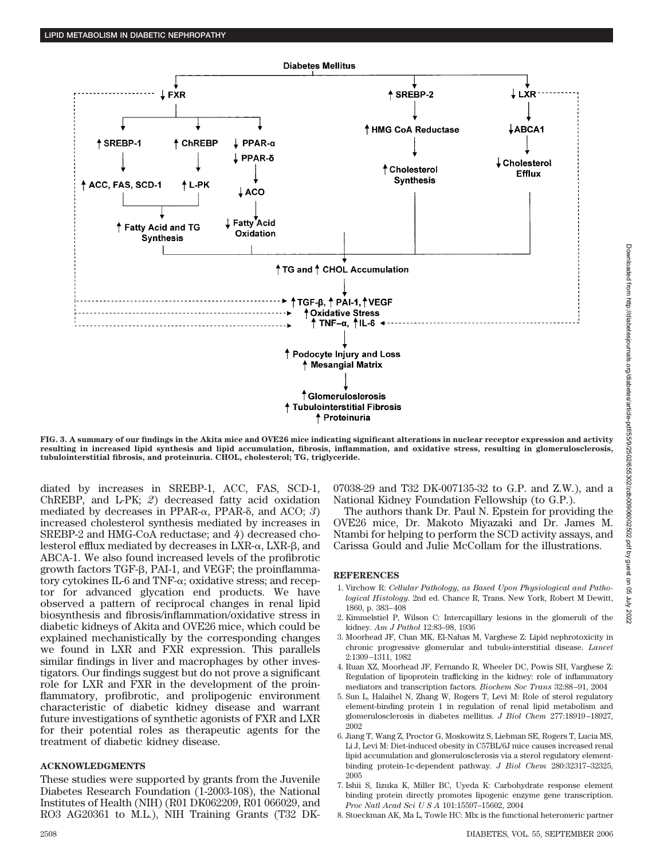

**FIG. 3. A summary of our findings in the Akita mice and OVE26 mice indicating significant alterations in nuclear receptor expression and activity resulting in increased lipid synthesis and lipid accumulation, fibrosis, inflammation, and oxidative stress, resulting in glomerulosclerosis, tubulointerstitial fibrosis, and proteinuria. CHOL, cholesterol; TG, triglyceride.**

diated by increases in SREBP-1, ACC, FAS, SCD-1, ChREBP, and L-PK; *2*) decreased fatty acid oxidation mediated by decreases in PPAR- $\alpha$ , PPAR- $\delta$ , and ACO; 3) increased cholesterol synthesis mediated by increases in SREBP-2 and HMG-CoA reductase; and *4*) decreased cholesterol efflux mediated by decreases in LXR- $\alpha$ , LXR- $\beta$ , and ABCA-1. We also found increased levels of the profibrotic growth factors  $TGF- $\beta$ , PAL-1, and VEGF; the proinflamma$ tory cytokines IL-6 and TNF- $\alpha$ ; oxidative stress; and receptor for advanced glycation end products. We have observed a pattern of reciprocal changes in renal lipid biosynthesis and fibrosis/inflammation/oxidative stress in diabetic kidneys of Akita and OVE26 mice, which could be explained mechanistically by the corresponding changes we found in LXR and FXR expression. This parallels similar findings in liver and macrophages by other investigators. Our findings suggest but do not prove a significant role for LXR and FXR in the development of the proinflammatory, profibrotic, and prolipogenic environment characteristic of diabetic kidney disease and warrant future investigations of synthetic agonists of FXR and LXR for their potential roles as therapeutic agents for the treatment of diabetic kidney disease.

## **ACKNOWLEDGMENTS**

These studies were supported by grants from the Juvenile Diabetes Research Foundation (1-2003-108), the National Institutes of Health (NIH) (R01 DK062209, R01 066029, and RO3 AG20361 to M.L.), NIH Training Grants (T32 DK- 07038-29 and T32 DK-007135-32 to G.P. and Z.W.), and a National Kidney Foundation Fellowship (to G.P.).

The authors thank Dr. Paul N. Epstein for providing the OVE26 mice, Dr. Makoto Miyazaki and Dr. James M. Ntambi for helping to perform the SCD activity assays, and Carissa Gould and Julie McCollam for the illustrations.

## **REFERENCES**

- 1. Virchow R: *Cellular Pathology, as Based Upon Physiological and Pathological Histology*. 2nd ed. Chance R, Trans. New York, Robert M Dewitt, 1860, p. 383– 408
- 2. Kimmelstiel P, Wilson C: Intercapillary lesions in the glomeruli of the kidney. *Am J Pathol* 12:83–98, 1936
- 3. Moorhead JF, Chan MK, El-Nahas M, Varghese Z: Lipid nephrotoxicity in chronic progressive glomerular and tubulo-interstitial disease. *Lancet* 2:1309 –1311, 1982
- 4. Ruan XZ, Moorhead JF, Fernando R, Wheeler DC, Powis SH, Varghese Z: Regulation of lipoprotein trafficking in the kidney: role of inflammatory mediators and transcription factors. *Biochem Soc Trans* 32:88 –91, 2004
- 5. Sun L, Halaihel N, Zhang W, Rogers T, Levi M: Role of sterol regulatory element-binding protein 1 in regulation of renal lipid metabolism and glomerulosclerosis in diabetes mellitus. *J Biol Chem* 277:18919 –18927, 2002
- 6. Jiang T, Wang Z, Proctor G, Moskowitz S, Liebman SE, Rogers T, Lucia MS, Li J, Levi M: Diet-induced obesity in C57BL/6J mice causes increased renal lipid accumulation and glomerulosclerosis via a sterol regulatory elementbinding protein-1c-dependent pathway. *J Biol Chem* 280:32317–32325, 2005
- 7. Ishii S, Iizuka K, Miller BC, Uyeda K: Carbohydrate response element binding protein directly promotes lipogenic enzyme gene transcription. *Proc Natl Acad SciUSA* 101:15597–15602, 2004
- 8. Stoeckman AK, Ma L, Towle HC: Mlx is the functional heteromeric partner